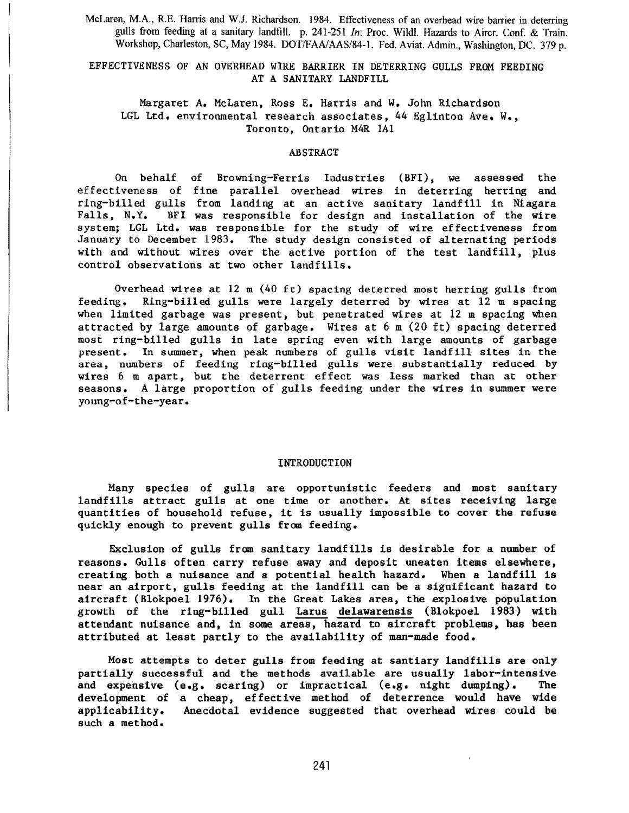McLaren, M.A., R.E. Harris and W.J. Richardson. 1984. Effectiveness of an overhead wire barrier in deterring gulls from feeding at a sanitary landfill. p. 241-251 *In*: Proc. Wildl. Hazards to Aircr. Conf. & Train. Workshop, Charleston, SC, May 1984. DOT/FAA/AAS/84-1. Fed. Aviat. Admin., Washington, DC. 379 p.

EFFECTIVENESS OF AN OVERHEAD WIRE BARRIER IN DETERRING GULLS FROM FEEDING AT A SANITARY LANDFILL

Margaret A. McLaren, Ross E. Harris and W. John Richardson LGL Ltd. environmental research associates, 44 Eglinton Ave. W., Toronto, Ontario M4R 1A1

# ABSTRACT

On behalf of Browning-Ferris Industries (BFI), we assessed the effectiveness of fine parallel overhead wires in deterring herring and ring-billed gulls from landing at an active sanitary landfill in Niagara Falls, N.Y. BFI was responsible for design and installation of the wire system; LGL Ltd. was responsible for the study of wire effectiveness from January to December 1983. The study design consisted of alternating periods with and without wires over the active portion of the test landfill, plus control observations at two other landfills.

Overhead wires at 12 m (40 ft) spacing deterred most herring gulls from feeding. Ring-billed gulls were largely deterred by wires at 12 m spacing when limited garbage was present, but penetrated wires at 12 m spacing when attracted by large amounts of garbage. Wires at 6 m (20 ft) spacing deterred most ring-billed gulls in late spring even with large amounts of garbage present. In summer, when peak numbers of gulls visit landf ill sites in the area, numbers of feeding ring-billed gulls were substantially reduced by wires 6 m apart, but the deterrent effect was less marked than at other seasons. A large proportion of gulls feeding under the wires in summer were young-of-the-year.

## INTRODUCTION

Many species of gulls are opportunistic feeders and most sanitary landfills attract gulls at one time or another. At sites receiving large quantities of household refuse, it is usually impossible to cover the refuse quickly enough to prevent gulls from feeding.

Exclusion of gulls from sanitary landfills is desirable for a number of reasons. Gulls often carry refuse away and deposit uneaten items elsewhere, creating both a nuisance and a potential health hazard. When a landfill is near an airport, gulls feeding at the landfill can be a significant hazard to aircraft (Blokpoel 1976). In the Great Lakes area, the explosive population In the Great Lakes area, the explosive population growth of the ring-billed gull Larus delawarensis (Blokpoel 1983) with attendant nuisance and, in some areas, hazard to aircraft problems, has been attributed at least partly to the availability of man-made food.

Most attempts to deter gulls from feeding at santiary landfills are only partially successful and the methods available are usually labor-intensive<br>and expensive (e.g. scaring) or impractical (e.g. night dumping). The and expensive  $(e.g.$  scaring) or impractical  $(e.g.$  night dumping). development of a cheap, effective method of deterrence would have wide applicability. Anecdotal evidence suggested that overhead wires could be such a method.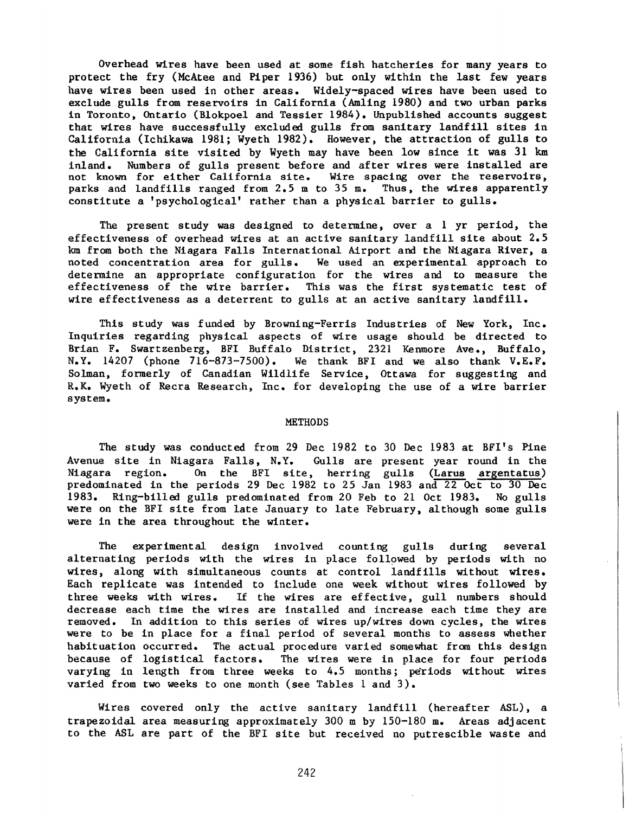Overhead wires have been used at some fish hatcheries for many years to protect the fry (McAtee and Piper 1936) but only within the last few years have wires been used in other areas. Widely-spaced wires have been used to exclude gulls from reservoirs in California (Amling 1980) and two urban parks in Toronto, Ontario (Blokpoel and Tessier 1984). Unpublished accounts suggest that wires have successfully excluded gulls from sanitary landfill sites in California (Ichikawa 1981; Wyeth 1982). However, the attraction of gulls to the California site visited by Wyeth may have been low since it was 31 km inland. Numbers of gulls present before and after wires were installed are not known for either California site. Wire spacing over the reservoirs. not known for either California site. parks and landfills ranged from 2.5 m to 35 m. Thus, the wires apparently constitute a 'psychological' rather than a physical barrier to gulls.

The present study was designed to determine, over a 1 yr period, the effectiveness of overhead wires at an active sanitary landfill site about 2.5 km from both the Niagara Falls International Airport and the Niagara River, a noted concentration area for gulls. We used an experimental approach to determine an appropriate configuration for the wires and to measure the effectiveness of the wire barrier. This was the first systematic test of wire effectiveness as a deterrent to gulls at an active sanitary landfill.

This study was funded by Browning-Ferris Industries of New York, Inc. Inquiries regarding physical aspects of wire usage should be directed to Brian F. Swartzenberg, BFI Buffalo District, 2321 Kenmore Ave., Buffalo,<br>N.Y. 14207 (phone 716-873-7500). We thank BFI and we also thank V.E.F. We thank BFI and we also thank  $V.E.F.$ Solman, formerly of Canadian Wildlife Service, Ottawa for suggesting and R.K. Wyeth of Recra Research, Inc. for developing the use of a wire barrier system.

#### **METHODS**

The study was conducted from 29 Dec 1982 to 30 Dec 1983 at BFI's Pine Avenue site in Niagara Falls, N.Y. Gulls are present year round in the Niagara region. On the BFI site, herring gulls (Larus argentatus) On the BFI site, herring gulls (Larus argentatus) predominated in the periods 29 Dec 1982 to 25 Jan 1983 and 22 Oct to 30 Dec 1983. Ring-billed gulls predominated from 20 Feb to 21 Oct 1983. No gulls were on the BFI site from late January to late February, although some gulls were in the area throughout the winter.

The experimental design involved counting gulls during several alternating periods with the wires in place followed by periods with no wires, along with simultaneous counts at control landfills without wires. Each replicate was intended to include one week without wires followed by three weeks with wires. If the wires are effective, gull numbers should decrease each time the wires are installed and increase each time they are removed. In addition to this series of wires up/wires down cycles, the wires were to be in place for a final period of several months to assess whether habituation occurred. The actual procedure varied somewhat from this design because of logistical factors. The wires were in place for four periods varying in length from three weeks to 4.5 months; periods without wires varied from two weeks to one month (see Tables 1 and 3).

Wires covered only the active sanitary landfill (hereafter ASL), a trapezoidal area measuring approximately 300 m by 150-180 m. Areas adjacent to the ASL are part of the BFI site but received no putrescible waste and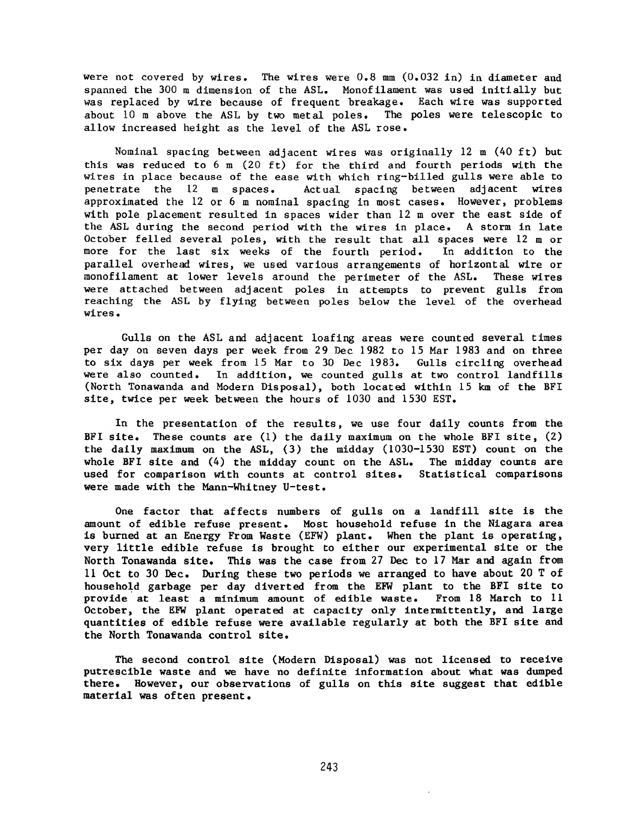were not covered by wires. The wires were  $0.8$  mm  $(0.032$  in) in diameter and spanned the 300 m dimension of the ASL. Monofilament was used initially but was replaced by wire because of frequent breakage. Each wire was supported about 10 m above the ASL by two metal poles. The poles were telescopic to allow increased height as the level of the ASL rose.

Nominal spacing between adjacent wires was originally 12 m (40 ft) but this was reduced to 6 m (20 ft) for the third and fourth periods with the wires in place because of the ease with which ring-billed gulls were able to penetrate the 12 m spaces. Act ual spacing between adjacent wires approximated the 12 or 6 m nominal spacing in most cases. However, problems with pole placement resulted in spaces wider than 12 m over the east side of the ASL during the second period with the wires in place. A storm in late October felled several poles, with the result that all spaces were 12 m or<br>more for the last six weeks of the fourth period. In addition to the more for the last six weeks of the fourth period. parallel overhead wires, we used various arrangements of horizontal wire or monofilament at lower levels around the perimeter of the ASL. These wires were attached between adjacent poles in attempts to prevent gulls from reaching the ASL by flying between poles below the level of the overhead wires.

Gulls on the ASL and adjacent loafing areas were counted several times per day on seven days per week from 29 Dec 1982 to 15 Mar 1983 and on three to six days per week from 15 Mar to 30 Dec 1983. Gulls circling overhead were also counted. In addition, we counted gulls at two control landfills (North Tonawanda and Modern Disposal), both located within 15 km of the BFI site, twice per week between the hours of 1030 and 1530 EST.

In the presentation of the results, we use four daily counts from the BFI site. These counts are (1) the daily maximum on the whole BFI site,  $(2)$ the daily maximum on the ASL, (3) the midday (1030-1530 EST) count on the whole BFI site and (4) the midday count on the ASL. The midday counts are used for comparison with counts at control sites. Statistical comparisons were made with the Mann-Whitney U-test.

One factor that affects numbers of gulls on a landfill site is the amount of edible refuse present. Most household refuse in the Niagara area is burned at an Energy From Waste (EFW) plant. When the plant is operating, very little edible refuse is brought to either our experimental site or the North Tonawanda site. This was the case from 27 Dec to 17 Mar and again from 11 Oct to 30 Dec. During these two periods we arranged to have about 20 T of household garbage per day diverted from the EFW plant to the BFI site to provide at least a minimum amount of edible waste. From 18 March to 11 provide at least a minimum amount of edible waste. October, the EFW plant operated at capacity only intermittently, and large quantities of edible refuse were available regularly at both the BFI site and the North Tonawanda control site.

The second control site (Modern Disposal) was not licensed to receive putrescible waste and we have no definite information about what was dumped there. However, our observations of gulls on this site suggest that edible material was often present.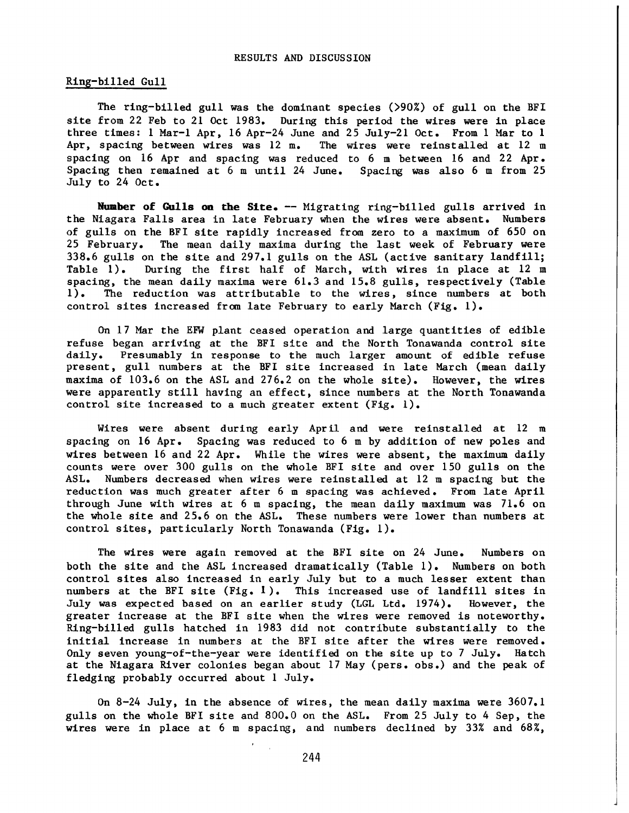## RESULTS AND DISCUSSION

## Ring-billed Gull

The ring-billed gull was the dominant species (>90%) of gull on the BFI site from 22 Feb to 21 Oct 1983. During this period the wires were in place three times: 1 Mar-l Apr, 16 Apr-24 June and 25 July-21 Oct. From 1 Mar to 1 Apr, spacing between wires was 12 m. The wires were reinstalled at 12 m spacing on 16 Apr and spacing was reduced to 6 m between 16 and 22 Apr. Spacing then remained at 6 m until 24 June. Spacing was also 6 m from 25 July to 24 Oct.

Number of Gulls on the Site. -- Migrating ring-billed gulls arrived in the Niagara Falls area in late February when the wires were absent. Numbers of gulls on the BFI site rapidly increased from zero to a maximum of 650 on 25 February. The mean daily maxima during the last week of February were 338.6 gulls on the site and 297.1 gulls on the ASL (active sanitary landfill; Table 1). During the first half of March, with wires in place at 12 m spacing, the mean daily maxima were 61.3 and 15.8 gulls, respectively (Table 1). The reduction was attributable to the wires, since numbers at both control sites increased from late February to early March (Fig.  $l$ ).

On 17 Mar the EFW plant ceased operation and large quantities of edible refuse began arriving at the BFI site and the North Tonawanda control site Presumably in response to the much larger amount of edible refuse present, gull numbers at the BFI site increased in late March (mean daily maxima of 103.6 on the ASL and 276.2 on the whole site). However, the wires were apparently still having an effect, since numbers at the North Tonawanda control site increased to a much greater extent (Fig. 1).

Wires were absent during early April and were reinstalled at 12 m spacing on 16 Apr. Spacing was reduced to 6 m by addition of new poles and wires between 16 and 22 Apr. While the wires were absent, the maximum daily counts were over 300 gulls on the whole SFI site and over 150 gulls on the ASL. Numbers decreased when wires were reinstalled at 12 m spacing but the reduction was much greater after 6 m spacing was achieved. From late April through June with wires at 6 m spacing, the mean daily maximum was 71.6 on the whole site and 25.6 on the ASL. These numbers were lower than numbers at control sites, particularly North Tonawanda (Fig. 1).

The wires were again removed at the BFI site on 24 June. Numbers on both the site and the ASL increased dramatically (Table 1). Numbers on both control sites also increased in early July but to a much lesser extent than numbers at the BFI site (Fig. 1). This increased use of landfill sites in July was expected based on an earlier study (LGL Ltd. 1974). However, the greater increase at the BFI site when the wires were removed is noteworthy. Ring-billed gulls hatched in 1983 did not contribute substantially to the initial increase in numbers at the BFI site after the wires were removed. Only seven young-of-the-year were identified on the site up to 7 July. Hatch at the Niagara River colonies began about 17 May (pers. obs.) and the peak of fledging probably occurred about 1 July.

On 8-24 July, in the absence of wires, the mean daily maxima were 3607.1 gulls on the whole BF! site and 800.0 on the ASL. From 25 July to 4 Sep, the wires were in place at 6 m spacing, and numbers declined by 33% and 68%,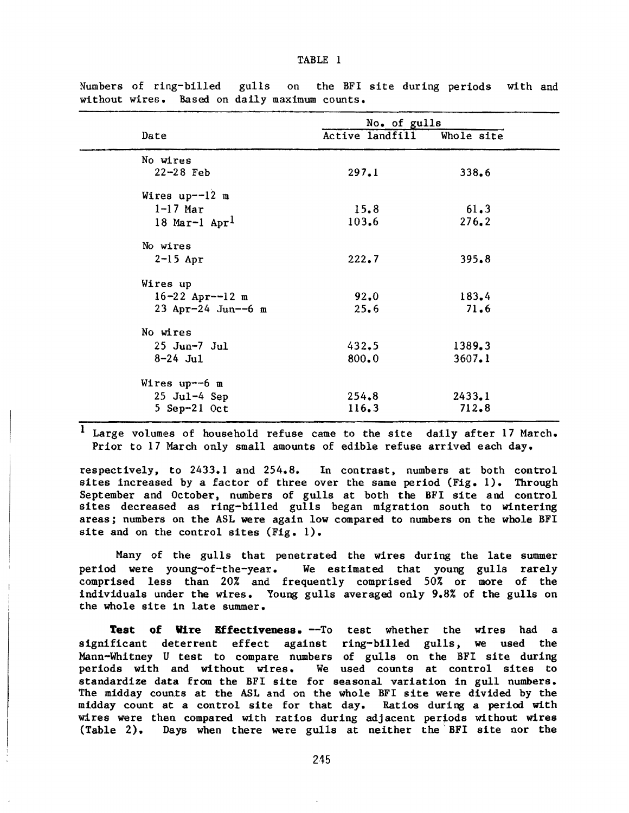| Date                 | No. of gulls    |            |  |
|----------------------|-----------------|------------|--|
|                      | Active landfill | Whole site |  |
| No wires             |                 |            |  |
| $22 - 28$ Feb        | 297.1           | 338.6      |  |
| Wires $up--12$ m     |                 |            |  |
| $1-17$ Mar           | 15.8            | 61.3       |  |
| 18 Mar-1 $Ar1$       | 103.6           | 276.2      |  |
| No wires             |                 |            |  |
| $2-15$ Apr           | 222.7           | 395.8      |  |
| Wires up             |                 |            |  |
| $16 - 22$ Apr--12 m  | 92.0            | 183.4      |  |
| $23$ Apr-24 Jun--6 m | 25.6            | 71.6       |  |
| No wires             |                 |            |  |
| $25$ Jun-7 Jul       | 432.5           | 1389.3     |  |
| $8 - 24$ Jul         | $800 - 0$       | 3607.1     |  |
| Wires up--6 m        |                 |            |  |
| $25$ Jul-4 Sep       | 254.8           | 2433.1     |  |
| $5$ Sep-21 Oct       | 116.3           | 712.8      |  |

Numbers of ring-billed gulls on the BFI site during periods with and without wires. Based on daily maximum counts.

1 Large volumes of household refuse came to the site daily after 17 March. Prior to 17 March only small amounts of edible refuse arrived each day.

respectively, to 2433.1 and 254.8. In contrast, numbers at both control sites increased by a factor of three over the same period (Fig. 1). Through September and October, numbers of gulls at both the BFI site and control sites decreased as ring-billed gulls began migration south to wintering areas; numbers on the ASL were again low compared to numbers on the whole BFI site and on the control sites  $(Fig, 1)$ .

Many of the gulls that penetrated the wires during the late summer period were young-of-the-year. We estimated that young gulls rarely comprised less than 20% and frequently comprised 50% or more of the individuals under the wires. Young gulls averaged only 9.8% of the gulls on the whole site in late summer.

**Test of Wire Effectiveness.** --To test whether the wires had a significant deterrent effect against ring-billed gulls, we used the Mann-Whitney U test to compare numbers of gulls on the BFI site during<br>periods with and without wires. We used counts at control sites to We used counts at control sites to standardize data from the BFI site for seasonal variation in gull numbers. The midday counts at the ASL and on the whole BFI site were divided by the midday count at a control site for that day. Ratios during a period with wires were then compared with ratios during adjacent periods without wires (Table 2). Days when there were gulls at neither the BFI site nor the Days when there were gulls at neither the BFI site nor the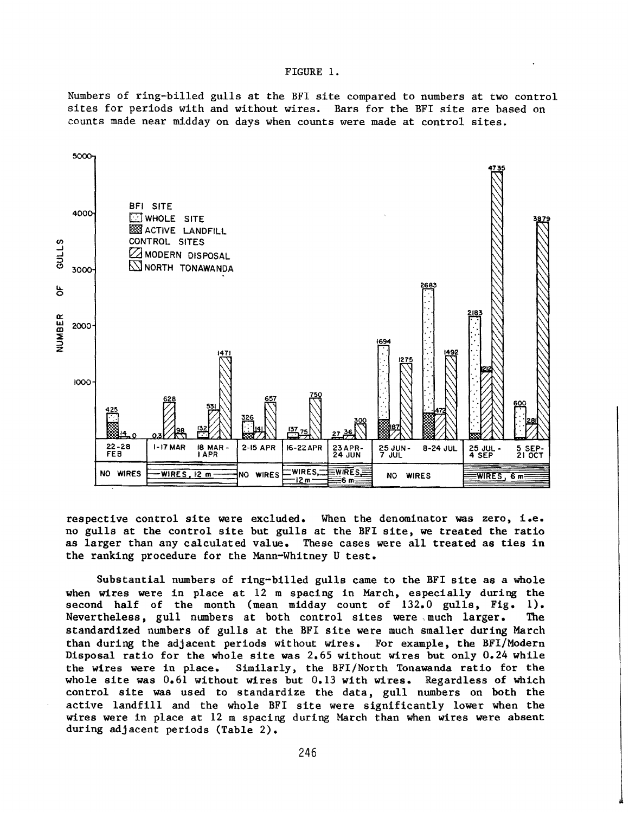## FIGURE 1.

Numbers of ring-billed gulls at the BFI site compared to numbers at two control sites for periods with and without wires. Bars for the BFI site are based on counts made near midday on days when counts were made at control sites.



respective control site were excluded. When the denominator was zero, i.e. no gulls at the control site but gulls at the BFI site, we treated the ratio as larger than any calculated value. These cases were all treated as ties in the ranking procedure for the Mann-Whitney U test.

Substantial numbers of ring-billed gulls came to the BFI site as a whole when wires were in place at 12 m spacing in March, especially during the second half of the month (mean midday count of 132.0 gulls, Fig. 1). Nevertheless, gull numbers at both control sites were \ much larger. The standardized numbers of gulls at the BFI site were much smaller during March than during the adjacent periods without wires. For example, the BFI/Modern Disposal ratio for the whole site was 2.65 without wires but only 0.24 while the wires were in place. Similarly, the BFI/North Tonawanda ratio for the whole site was 0.61 without wires but 0.13 with wires. Regardless of which control site was used to standardize the data, gull numbers on both the active landfill and the whole BFI site were significantly lower when the wires were in place at 12 m spacing during March than when wires were absent during adjacent periods (Table 2).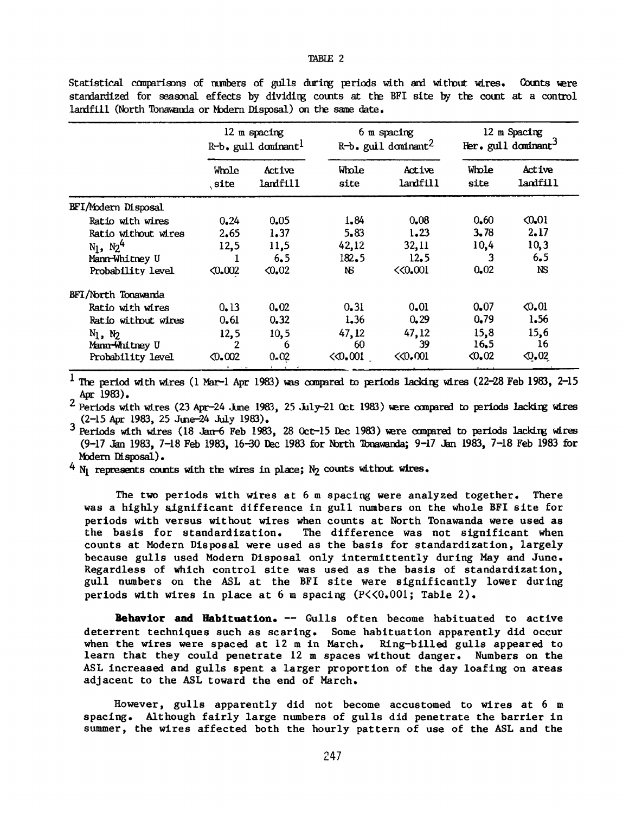## TABLE 2

|                     | 12 m spacing<br>$R-b$ , gull dominant <sup>1</sup> |                    | 6 m spacing<br>$R-b$ , gull dominant <sup>2</sup> |                    | 12 m Spacing<br>Her. gull dominant <sup>3</sup> |                         |
|---------------------|----------------------------------------------------|--------------------|---------------------------------------------------|--------------------|-------------------------------------------------|-------------------------|
|                     | Whole<br>site                                      | Active<br>landfill | Whole<br>site                                     | Active<br>landfill | Whole<br>site                                   | Active<br>landfill      |
| BFI/Modern Disposal |                                                    |                    |                                                   |                    |                                                 |                         |
| Ratio with wires    | 0.24                                               | 0.05               | 1.84                                              | 0,08               | 0,60                                            | 0.01                    |
| Ratio without wires | 2.65                                               | 1.37               | 5.83                                              | 1.23               | 3,78                                            | 2.17                    |
| $N_1$ , $N_2^4$     | 12,5                                               | 11,5               | 42,12                                             | 32,11              | 10,4                                            | 10,3                    |
| Mann-Whitney U      | 1                                                  | 6, 5               | 182.5                                             | 12.5               | 3                                               | 6.5                     |
| Probability level   | 0.002                                              | 0.02               | NS.                                               | < 0.001            | 0.02                                            | NS                      |
| BFI/North Tonawanda |                                                    |                    |                                                   |                    |                                                 |                         |
| Ratio with wires    | 0.13                                               | 0.02               | 0.31                                              | 0.01               | 0.07                                            | $\langle 0, 01 \rangle$ |
| Ratio without wires | 0.61                                               | 0.32               | 1.36                                              | 0.29               | 0,79                                            | 1.56                    |
| $N_1$ , $N_2$       | 12,5                                               | 10, 5              | 47, 12                                            | 47,12              | 15,8                                            | 15,6                    |
| Mann-Whitney U      | 2                                                  | 6                  | 60                                                | 39                 | 16.5                                            | 16                      |
| Probability level   | $\Diamond$ .002                                    | 0.02               | $\langle 0.001$                                   | < 0.001            | 0.02                                            | 0.02                    |
|                     |                                                    |                    |                                                   |                    |                                                 |                         |

Statistical comparisons of numbers of gulls during periods with and without wires. Counts were standardized for seasonal effects by dividing counts at the BFI site by the count at a control landfill (North Tonawanda or Modern Disposal) on the same date.

<sup>1</sup> The period with wires (1 Mar-1 Apr 1983) was compared to periods lacking wires (22-28 Feb 1983, 2-15 Apr 1983).

<sup>2</sup> Periods with wires (23 Apr-24 June 1983, 25 July-21 Oct 1983) were compared to periods lacking wires (2-15 Apr 1983, 25 Jme-24 July 1983).

 $3$  Periods with wires (18 Jan-6 Feb 1983, 28 Oct-15 Dec 1983) were compared to periods lacking wires (9-17 Jan 1983, 7-18 Feb 1983, 16-30 Dec 1983 for North Tonawanda; 9-17 Jan 1983, 7-18 Feb 1983 for Modern Disposal).

 $4$  N<sub>1</sub> represents counts with the wires in place; N<sub>2</sub> counts without wires.

The two periods with wires at 6 m spacing were analyzed together. There was a highly significant difference in gull numbers on the whole BFI site for periods with versus without wires when counts at North Tonawanda were used as the basis for standardization. The difference was not significant when The difference was not significant when counts at Modern Disposal were used as the basis for standardization, largely because gulls used Modern Disposal only intermittently during May and June. Regardless of which control site was used as the basis of standardization, gull numbers on the ASL at the BFI site were significantly lower during periods with wires in place at 6 m spacing  $(P<<0.001;$  Table 2).

**Behavior and Habituation.** -- Gulls often become habituated to active deterrent techniques such as scaring. Some habituation apparently did occur when the wires were spaced at 12 m in March. Ring-billed gulls appeared to learn that they could penetrate 12 m spaces without danger. Numbers on the ASL increased and gulls spent a larger proportion of the day loafing on areas adjacent to the ASL toward the end of March.

However, gulls apparently did not become accustomed to wires at 6 m spacing. Although fairly large numbers of gulls did penetrate the barrier in summer, the wires affected both the hourly pattern of use of the ASL and the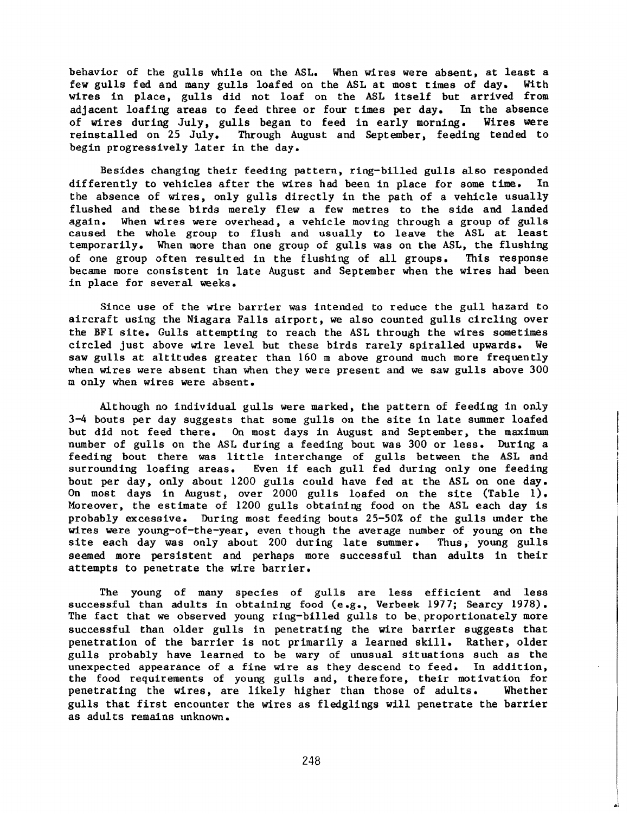behavior of the gulls while on the ASL. When wires were absent, at least a<br>few gulls fed and many gulls loafed on the ASL at most times of day. With few gulls fed and many gulls loafed on the ASL at most times of day. wires in place, gulls did not loaf on the ASL itself but arrived from adjacent loafing areas to feed three or four times per day. In the absence adjacent loafing areas to feed three or four times per day. of wires during July, gulls began to feed in early morning. Wires were Through August and September, feeding tended to begin progressively later in the day.

Besides changing their feeding pattern, ring-billed gulls also responded differently to vehicles after the wires had been in place for some time. In the absence of wires, only gulls directly in the path of a vehicle usually flushed and these birds merely flew a few metres to the side and landed<br>again. When wires were overhead, a vehicle moving through a group of gulls When wires were overhead, a vehicle moving through a group of gulls caused the whole group to flush and usually to leave the ASL at least temporarily. When more than one group of gulls was on the ASL, the flushing of one group often resulted in the flushing of all groups. This response became more consistent in late August and September when the wires had been in place for several weeks.

Since use of the wire barrier was intended to reduce the gull hazard to aircraft using the Niagara Falls airport, we also counted gulls circling over the BFI site. Gulls attempting to reach the ASL through the wires sometimes circled just above wire level but these birds rarely spiralled upwards. We saw gulls at altitudes greater than 160 m above ground much more frequently when wires were absent than when they were present and we saw gulls above 300 m only when wires were absent.

Although no individual gulls were marked, the pattern of feeding in only 3-4 bouts per day suggests that some gulls on the site in late summer loafed but did not feed there. On most days in August and September, the maximum number of gulls on the ASL during a feeding bout was 300 or less. During a feeding bout there was little interchange of gulls between the ASL and surrounding loafing areas. Even if each gull fed during only one feeding Even if each gull fed during only one feeding bout per day, only about 1200 gulls could have fed at the ASL on one day. On most days in August, over 2000 gulls loafed on the site (Table 1). Moreover, the estimate of 1200 gulls obtaining food on the ASL each day is probably excessive. During most feeding bouts 25-50% of the gulls under the wires were young-of-the-year, even though the average number of young on the site each day was only about 200 during late summer. Thus, young gulls seemed more persistent and perhaps more successful than adults in their attempts to penetrate the wire barrier.

The young of many species of gulls are less efficient and less successful than adults in obtaining food (e.g., Verbeek 1977; Searcy 1978). The fact that we observed young ring-billed gulls to be, proportionately more successful than older gulls in penetrating the wire barrier suggests that penetration of the barrier is not primarily a learned skill. Rather, older gulls probably have learned to be wary of unusual situations such as the unexpected appearance of a fine wire as they descend to feed. In addition. the food requirements of young gulls and, therefore, their motivation for penetrating the wires, are likely higher than those of adults. Whether gulls that first encounter the wires as fledglings will penetrate the barrier as adults remains unknown.

 $\blacksquare$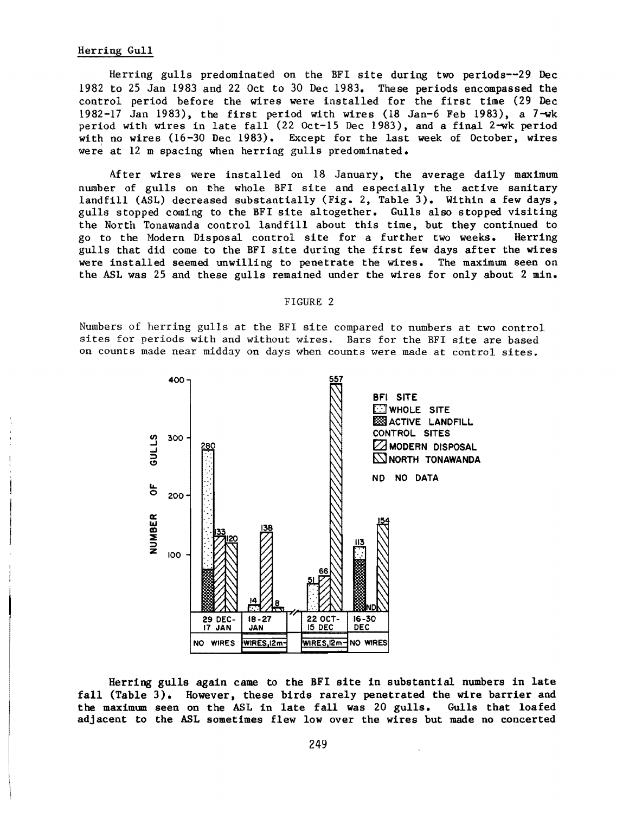## Herring Gull

Herring gulls predominated on the BFI site during two periods--29 Dec 1982 to 25 Jan 1983 and 22 Oct to 30 Dec 1983. These periods encompassed the control period before the wires were installed for the first time (29 Dec 1982-17 Jan 1983), the first period with wires (18 Jan-6 Feb 1983), a 7-wk. period with wires in late fall (22 Oct-IS Dec 1983), and a final 2-wk. period with no wires (16-30 Dec 1983). Except for the last week of October, wires were at 12 m spacing when herring gulls predominated.

After wires were installed on 18 January, the average daily maximum number of gulls on the whole BFI site and especially the active sanitary landfill (ASL) decreased substantially (Fig. 2, Table 3). Within a few days, gulls stopped coming to the BFI site altogether. Gulls also stopped visiting the North Tonawanda control landfill about this time, but they continued to go to the Modern Disposal control site for a further two weeks. Herring gulls that did come to the BFI site during the first few days after the wires were installed seemed unwilling to penetrate the wires. The maximum seen on the ASL was 25 and these gulls remained under the wires for only about 2 min.

#### FIGURE 2

Numbers of herring gulls at the BFI site compared to numbers at two control sites for periods with and without wires. Bars for the BFI site are based on counts made near midday on days when counts were made at control sites.



Herring gulls again came to the BFI site in substantial numbers in late fall (Table 3). However, these birds rarely penetrated the wire barrier and the maximum seen on the ASL in late fall was 20 gulls. Gulls that loafed adjacent to the ASL sometimes flew low over the wires but made no concerted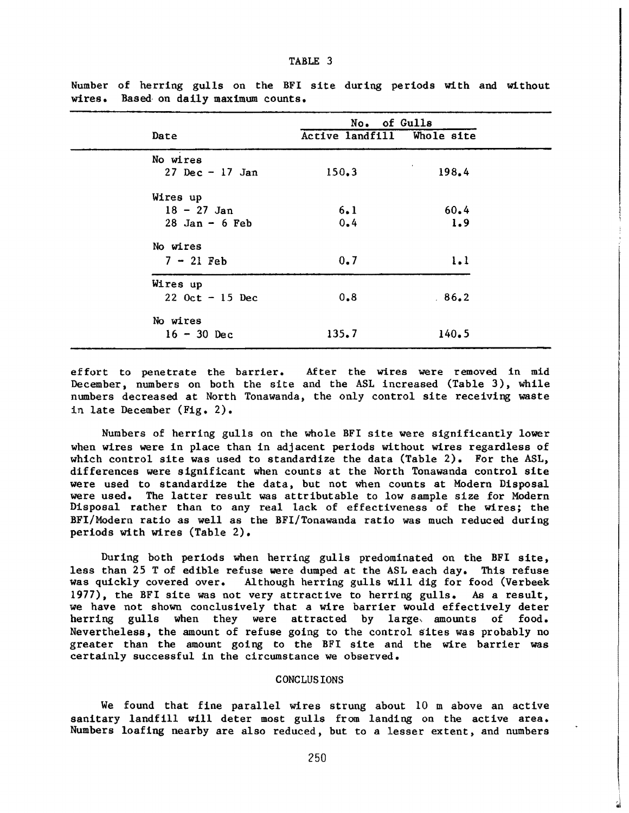|                                   | No. of Gulls               |       |  |  |
|-----------------------------------|----------------------------|-------|--|--|
| Date                              | Active landfill Whole site |       |  |  |
| No wires                          |                            |       |  |  |
| $27 \text{ Dec} - 17 \text{ Jan}$ | 150.3                      | 198.4 |  |  |
| Wires up                          |                            |       |  |  |
| $18 - 27$ Jan                     | 6.1                        | 60.4  |  |  |
| $28$ Jan - 6 Feb                  | 0.4                        | 1.9   |  |  |
| No wires                          |                            |       |  |  |
| $7 - 21$ Feb                      | 0.7                        | 1.1   |  |  |
| Wires up                          |                            |       |  |  |
| $22$ Oct - 15 Dec                 | 0.8                        | .86.2 |  |  |
| No wires                          |                            |       |  |  |
| $16 - 30$ Dec                     | 135.7                      | 140.5 |  |  |

Number of herring gulls on the BFI site during periods with and without wires. Based, on daily maximum counts.

effort to penetrate the barrier. After the wires were removed in mid December, numbers on both the site and the ASL increased (Table 3), while numbers decreased at North Tonawanda, the only control site receiving waste in late December (Fig. 2).

Numbers of herring gulls on the whole BFI site were significantly lower when wires were in place than in adjacent periods without wires regardless of which control site was used to standardize the data (Table 2). For the ASL, differences were significant when counts at the North Tonawanda control site were used to standardize the data, but not when counts at Modern Disposal were used. The latter result was attributable to low sample size for Modern Disposal rather than to any real lack of effectiveness of the wires; the BFI/Modern ratio as well as the BFI/Tonawanda ratio was much reduced during periods with wires (Table 2).

During both periods when herring gulls predominated on the BFI site, less than 25 T of edible refuse were dumped at the ASL each day. This refuse was quickly covered over. Although herring gulls will dig for food (Verbeek 1977), the BFI site was not very attractive to herring gulls. As a result, we have not shown conclusively that a wire barrier would effectively deter herring gulls when they were attracted by large, amounts of food. Nevertheless, the amount of refuse going to the control Sites was probably no greater than the amount going to the BFI site and the wire barrier was certainly successful in the circumstance we observed.

# CONCLUS IONS

We found that fine parallel wires strung about 10 m above an active sanitary landfill will deter most gulls from landing on the active area. Numbers loafing nearby are also reduced, but to a lesser extent, and numbers